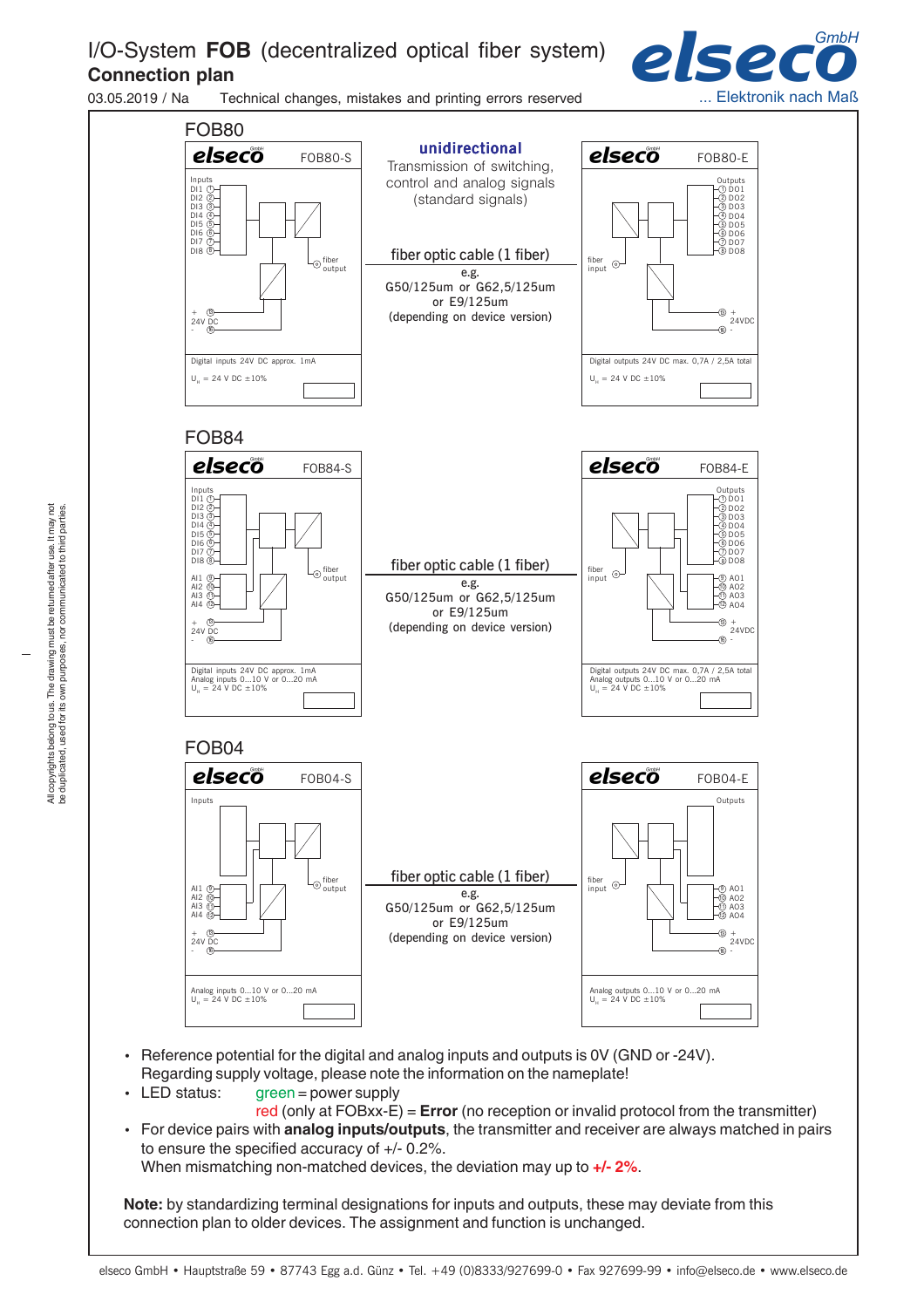## I/O-System **FOB** (decentralized optical fiber system) **Connection plan**



03.05.2019 / Na Technical changes, mistakes and printing errors reserved



- Reference potential for the digital and analog inputs and outputs is 0V (GND or -24V). Regarding supply voltage, please note the information on the nameplate!
- LED status: green = power supply
- red (only at FOBxx-E) = **Error** (no reception or invalid protocol from the transmitter) • For device pairs with **analog inputs/outputs**, the transmitter and receiver are always matched in pairs to ensure the specified accuracy of +/- 0.2%. When mismatching non-matched devices, the deviation may up to **+/- 2%**.

**Note:** by standardizing terminal designations for inputs and outputs, these may deviate from this connection plan to older devices. The assignment and function is unchanged.